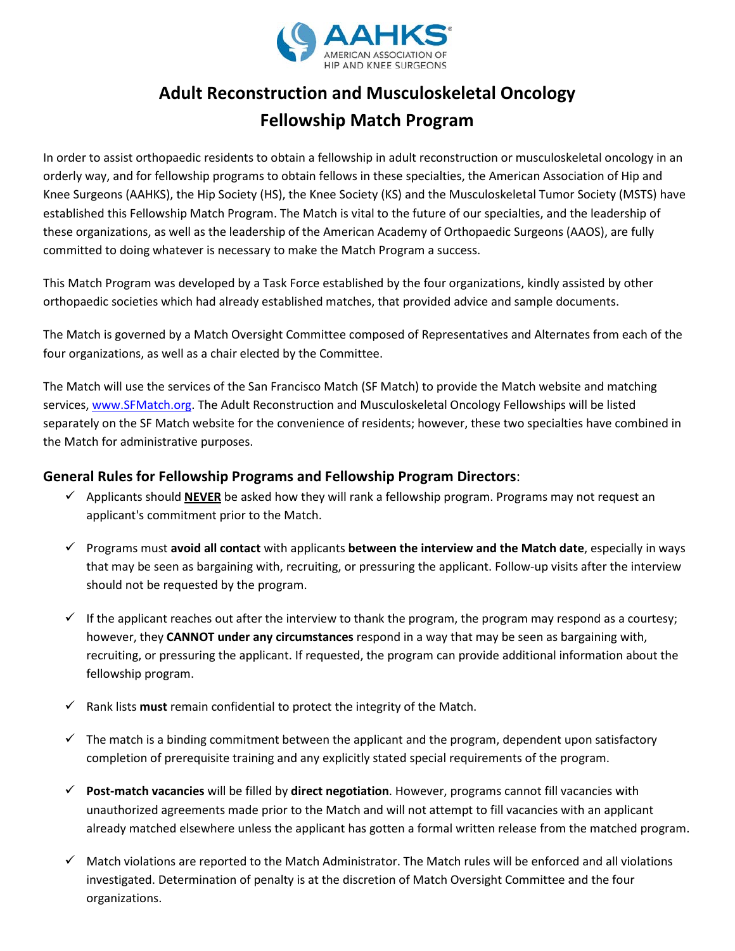

## **Adult Reconstruction and Musculoskeletal Oncology Fellowship Match Program**

In order to assist orthopaedic residents to obtain a fellowship in adult reconstruction or musculoskeletal oncology in an orderly way, and for fellowship programs to obtain fellows in these specialties, the American Association of Hip and Knee Surgeons (AAHKS), the Hip Society (HS), the Knee Society (KS) and the Musculoskeletal Tumor Society (MSTS) have established this Fellowship Match Program. The Match is vital to the future of our specialties, and the leadership of these organizations, as well as the leadership of the American Academy of Orthopaedic Surgeons (AAOS), are fully committed to doing whatever is necessary to make the Match Program a success.

This Match Program was developed by a Task Force established by the four organizations, kindly assisted by other orthopaedic societies which had already established matches, that provided advice and sample documents.

The Match is governed by a Match Oversight Committee composed of Representatives and Alternates from each of the four organizations, as well as a chair elected by the Committee.

The Match will use the services of the San Francisco Match (SF Match) to provide the Match website and matching services, [www.SFMatch.org.](http://www.sfmatch.org/) The Adult Reconstruction and Musculoskeletal Oncology Fellowships will be listed separately on the SF Match website for the convenience of residents; however, these two specialties have combined in the Match for administrative purposes.

## **General Rules for Fellowship Programs and Fellowship Program Directors**:

- $\checkmark$  Applicants should **NEVER** be asked how they will rank a fellowship program. Programs may not request an applicant's commitment prior to the Match.
- Programs must **avoid all contact** with applicants **between the interview and the Match date**, especially in ways that may be seen as bargaining with, recruiting, or pressuring the applicant. Follow-up visits after the interview should not be requested by the program.
- $\checkmark$  If the applicant reaches out after the interview to thank the program, the program may respond as a courtesy; however, they **CANNOT under any circumstances** respond in a way that may be seen as bargaining with, recruiting, or pressuring the applicant. If requested, the program can provide additional information about the fellowship program.
- $\checkmark$  Rank lists **must** remain confidential to protect the integrity of the Match.
- $\checkmark$  The match is a binding commitment between the applicant and the program, dependent upon satisfactory completion of prerequisite training and any explicitly stated special requirements of the program.
- **Post-match vacancies** will be filled by **direct negotiation**. However, programs cannot fill vacancies with unauthorized agreements made prior to the Match and will not attempt to fill vacancies with an applicant already matched elsewhere unless the applicant has gotten a formal written release from the matched program.
- $\checkmark$  Match violations are reported to the Match Administrator. The Match rules will be enforced and all violations investigated. Determination of penalty is at the discretion of Match Oversight Committee and the four organizations.